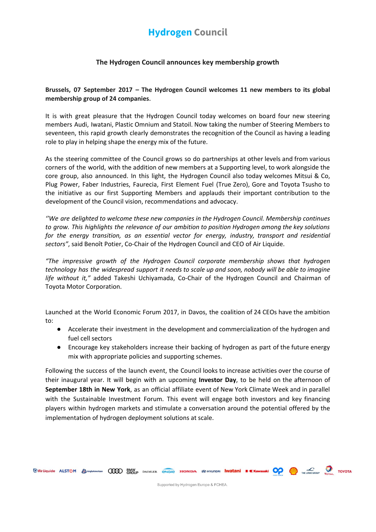# **Hydrogen Council**

## **The Hydrogen Council announces key membership growth**

## **Brussels, 07 September 2017 – The Hydrogen Council welcomes 11 new members to its global membership group of 24 companies**.

It is with great pleasure that the Hydrogen Council today welcomes on board four new steering members Audi, Iwatani, Plastic Omnium and Statoil. Now taking the number of Steering Members to seventeen, this rapid growth clearly demonstrates the recognition of the Council as having a leading role to play in helping shape the energy mix of the future.

As the steering committee of the Council grows so do partnerships at other levels and from various corners of the world, with the addition of new members at a Supporting level, to work alongside the core group, also announced. In this light, the Hydrogen Council also today welcomes Mitsui & Co, Plug Power, Faber Industries, Faurecia, First Element Fuel (True Zero), Gore and Toyota Tsusho to the initiative as our first Supporting Members and applauds their important contribution to the development of the Council vision, recommendations and advocacy.

*''We are delighted to welcome these new companies in the Hydrogen Council. Membership continues to grow. This highlights the relevance of our ambition to position Hydrogen among the key solutions for the energy transition, as an essential vector for energy, industry, transport and residential sectors"*, said Benoît Potier, Co-Chair of the Hydrogen Council and CEO of Air Liquide.

*"The impressive growth of the Hydrogen Council corporate membership shows that hydrogen* technology has the widespread support it needs to scale up and soon, nobody will be able to imagine *life without it,"* added Takeshi Uchiyamada, Co-Chair of the Hydrogen Council and Chairman of Toyota Motor Corporation.

Launched at the World Economic Forum 2017, in Davos, the coalition of 24 CEOs have the ambition to:

- Accelerate their investment in the development and commercialization of the hydrogen and fuel cell sectors
- Encourage key stakeholders increase their backing of hydrogen as part of the future energy mix with appropriate policies and supporting schemes.

Following the success of the launch event, the Council looks to increase activities over the course of their inaugural year. It will begin with an upcoming **Investor Day**, to be held on the afternoon of **September 18th in New York**, as an official affiliate event of New York Climate Week and in parallel with the Sustainable Investment Forum. This event will engage both investors and key financing players within hydrogen markets and stimulate a conversation around the potential offered by the implementation of hydrogen deployment solutions at scale.

**ID Air Liquide ALSTOM** AngloAmerican COOD BMW DAIMLER CNGIC **HONDA EXHYURDEN Watani BE Kawasaki OP** THE UNDEGROUP TOYOTA

Supported by Hydrogen Europe & FCHEA.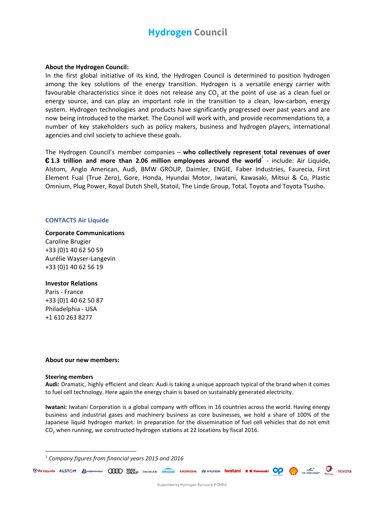# **Hydrogen Council**

### **About the Hydrogen Council:**

In the first global initiative of its kind, the Hydrogen Council is determined to position hydrogen among the key solutions of the energy transition. Hydrogen is a versatile energy carrier with favourable characteristics since it does not release any  $CO<sub>2</sub>$  at the point of use as a clean fuel or energy source, and can play an important role in the transition to a clean, low-carbon, energy system. Hydrogen technologies and products have significantly progressed over past years and are now being introduced to the market. The Council will work with, and provide recommendations to, a number of key stakeholders such as policy makers, business and hydrogen players, international agencies and civil society to achieve these goals.

The Hydrogen Council's member companies – **who collectively represent total revenues of over** € **1.3 trillion and more than 2.06 million employees around the world** - include: Air Liquide, 1 Alstom, Anglo American, Audi, BMW GROUP, Daimler, ENGIE, Faber Industries, Faurecia, First Element Fual (True Zero), Gore, Honda, Hyundai Motor, Iwatani, Kawasaki, Mitsui & Co, Plastic Omnium, Plug Power, Royal Dutch Shell, Statoil, The Linde Group, Total, Toyota and Toyota Tsusho.

### **CONTACTS Air Liquide**

## **Corporate Communications** Caroline Brugier +33 (0)1 40 62 50 59

Aurélie Wayser-Langevin +33 (0)1 40 62 56 19

### **Investor Relations**

Paris - France +33 (0)1 40 62 50 87 Philadelphia - USA +1 610 263 8277

### **About our new members:**

#### **Steering members**

**Audi:** Dramatic, highly efficient and clean: Audi is taking a unique approach typical of the brand when it comes to fuel cell technology. Here again the energy chain is based on sustainably generated electricity.

**Iwatani:** Iwatani Corporation is a global company with offices in 16 countries across the world. Having energy business and industrial gases and machinery business as core businesses, we hold a share of 100% of the Japanese liquid hydrogen market. In preparation for the dissemination of fuel cell vehicles that do not emit  $CO<sub>2</sub>$  when running, we constructed hydrogen stations at 22 locations by fiscal 2016.

**Interference ALSTOM** AngloAmerican **CCCO** BMW DAIMLER CNGIC **HONDA EXHYUNDEII** IWALLANI **EXAWASANI OP** THE LINDE GROUP TOYOTA

<sup>1</sup> *Company figures from financial years 2015 and 2016*